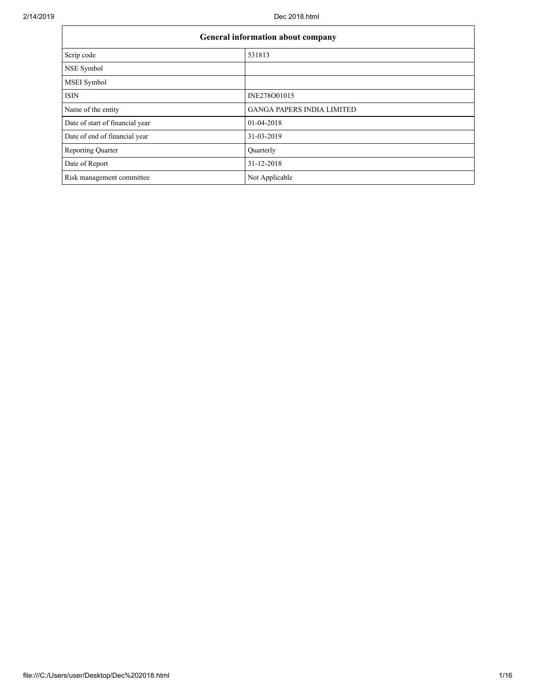$\mathbf{r}$ 

| General information about company |                                   |  |  |  |
|-----------------------------------|-----------------------------------|--|--|--|
| Scrip code                        | 531813                            |  |  |  |
| NSE Symbol                        |                                   |  |  |  |
| <b>MSEI</b> Symbol                |                                   |  |  |  |
| <b>ISIN</b>                       | INE278O01015                      |  |  |  |
| Name of the entity                | <b>GANGA PAPERS INDIA LIMITED</b> |  |  |  |
| Date of start of financial year   | 01-04-2018                        |  |  |  |
| Date of end of financial year     | 31-03-2019                        |  |  |  |
| <b>Reporting Quarter</b>          | Quarterly                         |  |  |  |
| Date of Report                    | 31-12-2018                        |  |  |  |
| Risk management committee         | Not Applicable                    |  |  |  |

 $\overline{\phantom{0}}$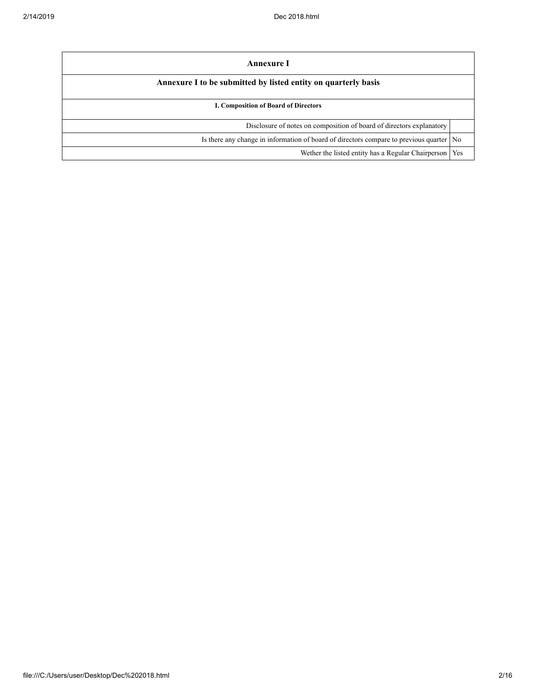| Annexure I                                                                                |     |  |  |
|-------------------------------------------------------------------------------------------|-----|--|--|
| Annexure I to be submitted by listed entity on quarterly basis                            |     |  |  |
| I. Composition of Board of Directors                                                      |     |  |  |
| Disclosure of notes on composition of board of directors explanatory                      |     |  |  |
| Is there any change in information of board of directors compare to previous quarter   No |     |  |  |
| Wether the listed entity has a Regular Chairperson                                        | Yes |  |  |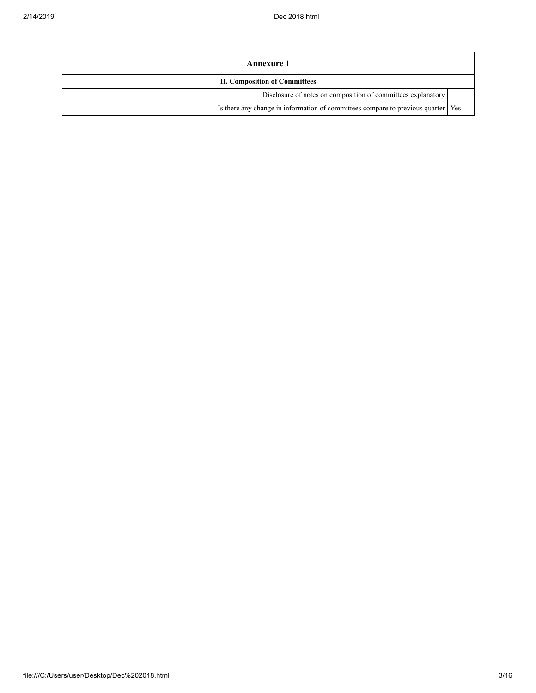| Annexure 1                                                                         |  |  |  |
|------------------------------------------------------------------------------------|--|--|--|
| <b>II. Composition of Committees</b>                                               |  |  |  |
| Disclosure of notes on composition of committees explanatory                       |  |  |  |
| Is there any change in information of committees compare to previous quarter   Yes |  |  |  |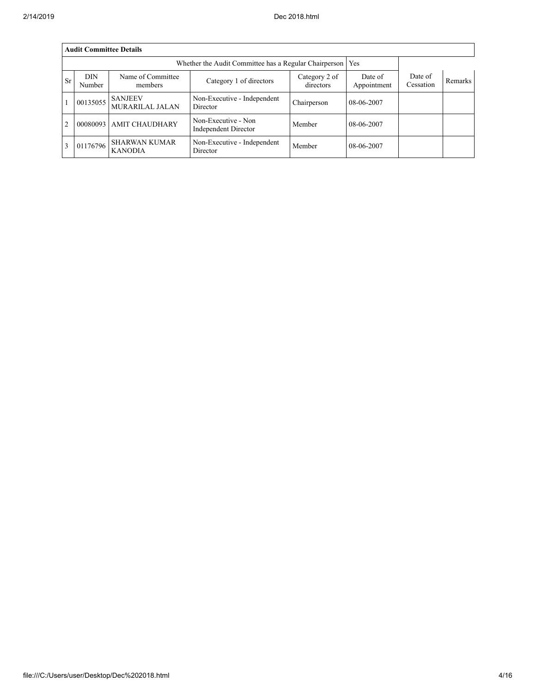|                | <b>Audit Committee Details</b> |                                        |                                                             |                            |                        |                      |         |  |
|----------------|--------------------------------|----------------------------------------|-------------------------------------------------------------|----------------------------|------------------------|----------------------|---------|--|
|                |                                |                                        | Whether the Audit Committee has a Regular Chairperson   Yes |                            |                        |                      |         |  |
| <b>Sr</b>      | DIN<br>Number                  | Name of Committee<br>members           | Category 1 of directors                                     | Category 2 of<br>directors | Date of<br>Appointment | Date of<br>Cessation | Remarks |  |
|                | 00135055                       | <b>SANJEEV</b><br>MURARILAL JALAN      | Non-Executive - Independent<br>Director                     | Chairperson                | 08-06-2007             |                      |         |  |
| $\overline{2}$ | 00080093                       | <b>AMIT CHAUDHARY</b>                  | Non-Executive - Non<br><b>Independent Director</b>          | Member                     | 08-06-2007             |                      |         |  |
| 3              | 01176796                       | <b>SHARWAN KUMAR</b><br><b>KANODIA</b> | Non-Executive - Independent<br>Director                     | Member                     | 08-06-2007             |                      |         |  |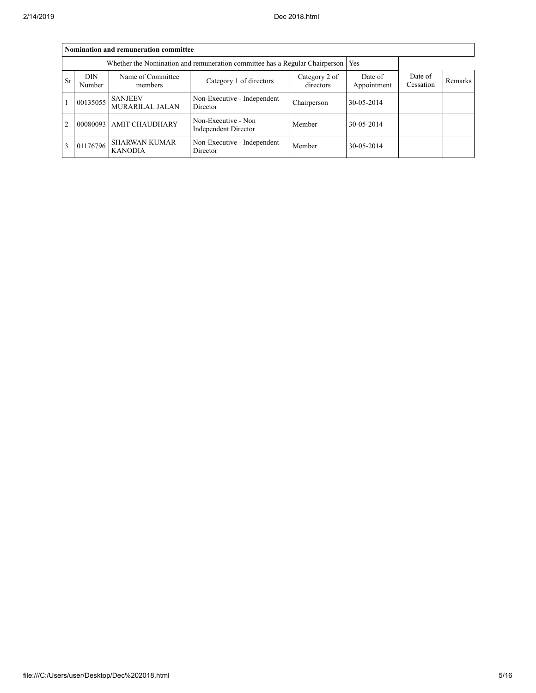|                | Nomination and remuneration committee |                                                                                       |                                                                                   |                        |                      |         |  |  |
|----------------|---------------------------------------|---------------------------------------------------------------------------------------|-----------------------------------------------------------------------------------|------------------------|----------------------|---------|--|--|
|                |                                       |                                                                                       | Whether the Nomination and remuneration committee has a Regular Chairperson   Yes |                        |                      |         |  |  |
| <b>Sr</b>      | DIN<br>Number                         | Name of Committee<br>Category 2 of<br>Category 1 of directors<br>directors<br>members |                                                                                   | Date of<br>Appointment | Date of<br>Cessation | Remarks |  |  |
|                | 00135055                              | <b>SANJEEV</b><br>MURARILAL JALAN                                                     | Non-Executive - Independent<br>Director                                           | Chairperson            | 30-05-2014           |         |  |  |
| $\overline{2}$ | 00080093                              | <b>AMIT CHAUDHARY</b>                                                                 | Non-Executive - Non<br><b>Independent Director</b>                                | Member                 | 30-05-2014           |         |  |  |
| $\overline{3}$ | 01176796                              | <b>SHARWAN KUMAR</b><br><b>KANODIA</b>                                                | Non-Executive - Independent<br>Director                                           | Member                 | 30-05-2014           |         |  |  |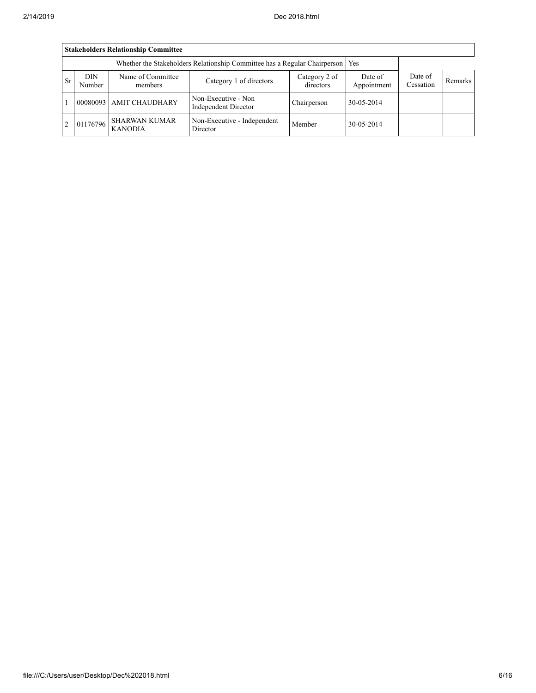|                | <b>Stakeholders Relationship Committee</b> |                                        |                                                                                 |                            |                        |                      |                |  |  |
|----------------|--------------------------------------------|----------------------------------------|---------------------------------------------------------------------------------|----------------------------|------------------------|----------------------|----------------|--|--|
|                |                                            |                                        | Whether the Stakeholders Relationship Committee has a Regular Chairperson   Yes |                            |                        |                      |                |  |  |
| <b>Sr</b>      | <b>DIN</b><br>Number                       | Name of Committee<br>members           | Category 1 of directors                                                         | Category 2 of<br>directors | Date of<br>Appointment | Date of<br>Cessation | <b>Remarks</b> |  |  |
|                |                                            | 00080093 AMIT CHAUDHARY                | Non-Executive - Non<br>Independent Director                                     | Chairperson                | 30-05-2014             |                      |                |  |  |
| $\overline{2}$ | 01176796                                   | <b>SHARWAN KUMAR</b><br><b>KANODIA</b> | Non-Executive - Independent<br>Director                                         | Member                     | 30-05-2014             |                      |                |  |  |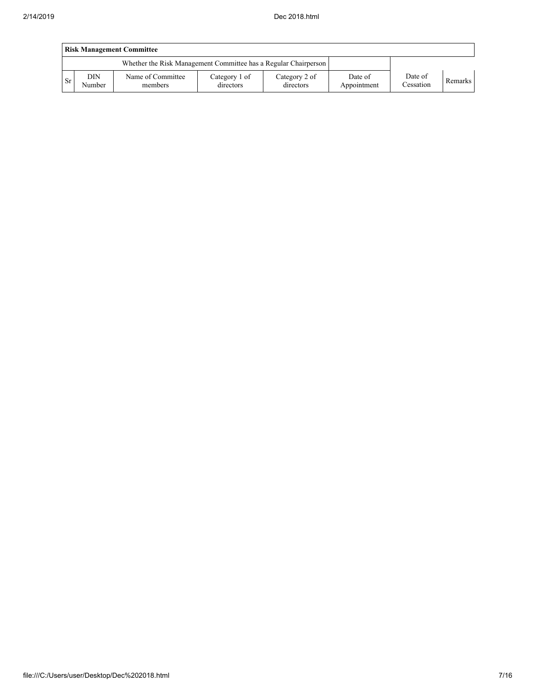|                                                                 | <b>Risk Management Committee</b> |                              |                            |                            |                        |                      |         |  |
|-----------------------------------------------------------------|----------------------------------|------------------------------|----------------------------|----------------------------|------------------------|----------------------|---------|--|
| Whether the Risk Management Committee has a Regular Chairperson |                                  |                              |                            |                            |                        |                      |         |  |
| <b>Sr</b>                                                       | DIN<br>Number                    | Name of Committee<br>members | Category 1 of<br>directors | Category 2 of<br>directors | Date of<br>Appointment | Date of<br>Cessation | Remarks |  |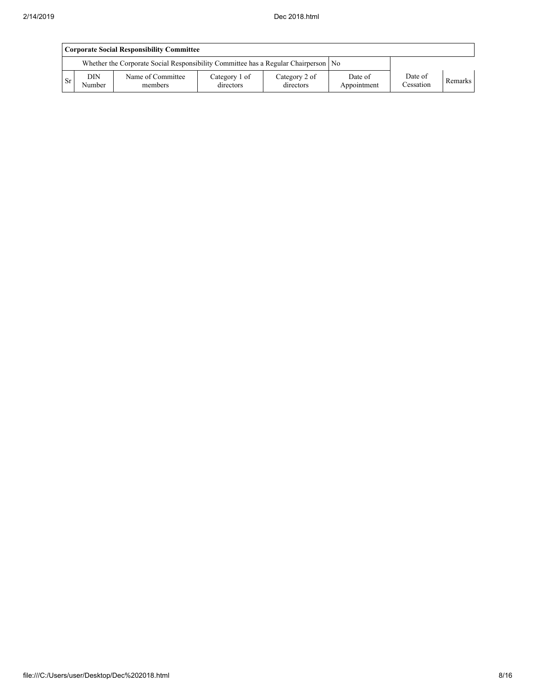|                                                                                      | Corporate Social Responsibility Committee |                              |                            |                            |                        |                      |         |  |
|--------------------------------------------------------------------------------------|-------------------------------------------|------------------------------|----------------------------|----------------------------|------------------------|----------------------|---------|--|
| Whether the Corporate Social Responsibility Committee has a Regular Chairperson   No |                                           |                              |                            |                            |                        |                      |         |  |
| <b>Sr</b>                                                                            | <b>DIN</b><br>Number                      | Name of Committee<br>members | Category 1 of<br>directors | Category 2 of<br>directors | Date of<br>Appointment | Date of<br>Cessation | Remarks |  |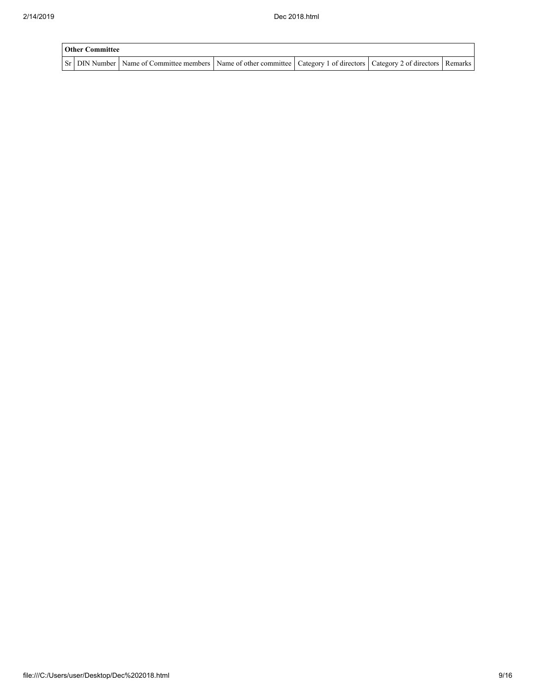| <b>Other Committee</b> |                                                                                                                                     |  |  |  |  |  |
|------------------------|-------------------------------------------------------------------------------------------------------------------------------------|--|--|--|--|--|
|                        | Sr   DIN Number   Name of Committee members   Name of other committee   Category 1 of directors   Category 2 of directors   Remarks |  |  |  |  |  |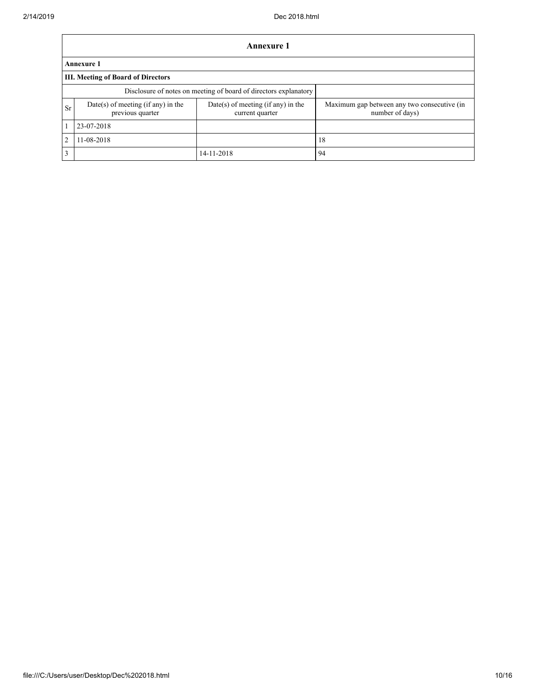|                | <b>Annexure 1</b>                                      |                                                                  |                                                                |  |  |  |  |
|----------------|--------------------------------------------------------|------------------------------------------------------------------|----------------------------------------------------------------|--|--|--|--|
|                | <b>Annexure 1</b>                                      |                                                                  |                                                                |  |  |  |  |
|                | <b>III. Meeting of Board of Directors</b>              |                                                                  |                                                                |  |  |  |  |
|                |                                                        | Disclosure of notes on meeting of board of directors explanatory |                                                                |  |  |  |  |
| <b>Sr</b>      | Date(s) of meeting (if any) in the<br>previous quarter | $Date(s)$ of meeting (if any) in the<br>current quarter          | Maximum gap between any two consecutive (in<br>number of days) |  |  |  |  |
|                | 23-07-2018                                             |                                                                  |                                                                |  |  |  |  |
| $\overline{2}$ | 11-08-2018                                             |                                                                  | 18                                                             |  |  |  |  |
| 3              |                                                        | 14-11-2018                                                       | 94                                                             |  |  |  |  |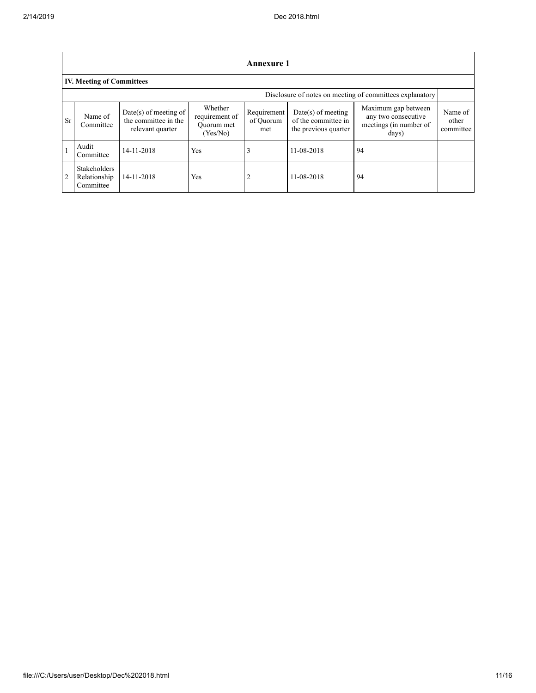|                | <b>Annexure 1</b>                                |                                                                   |                                                     |                                 |                                                                     |                                                                               |                               |  |
|----------------|--------------------------------------------------|-------------------------------------------------------------------|-----------------------------------------------------|---------------------------------|---------------------------------------------------------------------|-------------------------------------------------------------------------------|-------------------------------|--|
|                | <b>IV. Meeting of Committees</b>                 |                                                                   |                                                     |                                 |                                                                     |                                                                               |                               |  |
|                |                                                  |                                                                   |                                                     |                                 |                                                                     | Disclosure of notes on meeting of committees explanatory                      |                               |  |
| <b>Sr</b>      | Name of<br>Committee                             | Date(s) of meeting of<br>the committee in the<br>relevant quarter | Whether<br>requirement of<br>Ouorum met<br>(Yes/No) | Requirement<br>of Ouorum<br>met | $Date(s)$ of meeting<br>of the committee in<br>the previous quarter | Maximum gap between<br>any two consecutive<br>meetings (in number of<br>days) | Name of<br>other<br>committee |  |
|                | Audit<br>Committee                               | 14-11-2018                                                        | Yes                                                 | 3                               | 11-08-2018                                                          | 94                                                                            |                               |  |
| $\overline{2}$ | <b>Stakeholders</b><br>Relationship<br>Committee | 14-11-2018                                                        | Yes                                                 | 2                               | 11-08-2018                                                          | 94                                                                            |                               |  |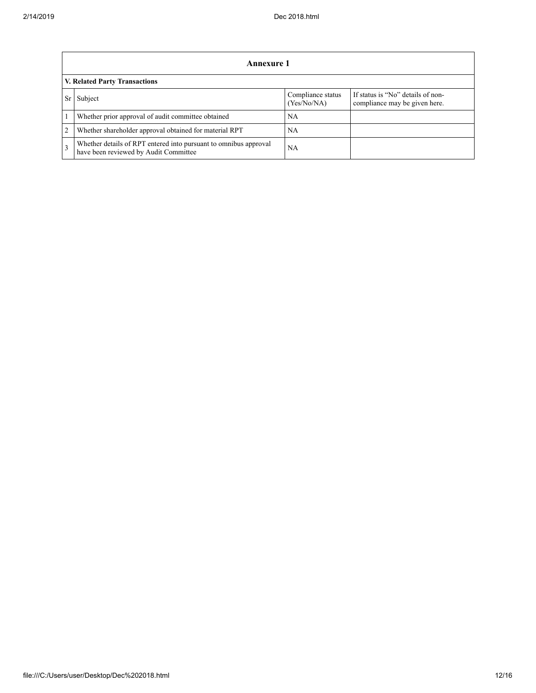|               | Annexure 1                                                                                                |                                  |                                                                    |  |  |  |  |
|---------------|-----------------------------------------------------------------------------------------------------------|----------------------------------|--------------------------------------------------------------------|--|--|--|--|
|               | V. Related Party Transactions                                                                             |                                  |                                                                    |  |  |  |  |
|               | Subject                                                                                                   | Compliance status<br>(Yes/No/NA) | If status is "No" details of non-<br>compliance may be given here. |  |  |  |  |
|               | Whether prior approval of audit committee obtained                                                        | NA                               |                                                                    |  |  |  |  |
| 2             | Whether shareholder approval obtained for material RPT                                                    | NA                               |                                                                    |  |  |  |  |
| $\mathcal{E}$ | Whether details of RPT entered into pursuant to omnibus approval<br>have been reviewed by Audit Committee | NA                               |                                                                    |  |  |  |  |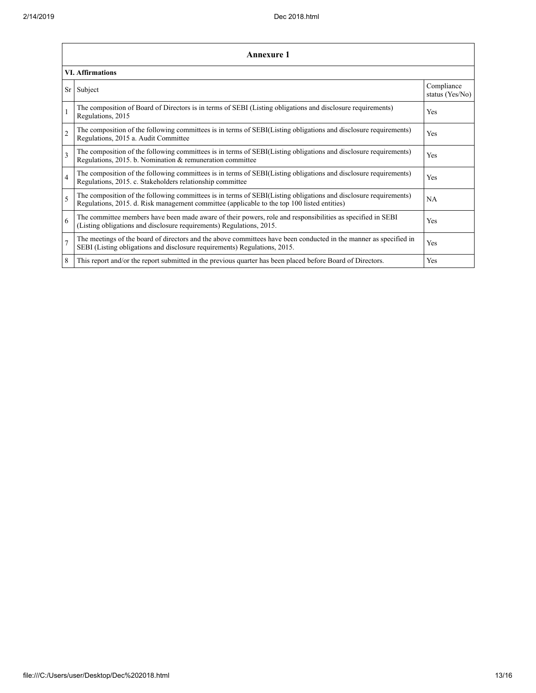|                         | <b>Annexure 1</b>                                                                                                                                                                                               |                               |  |  |  |
|-------------------------|-----------------------------------------------------------------------------------------------------------------------------------------------------------------------------------------------------------------|-------------------------------|--|--|--|
| <b>VI. Affirmations</b> |                                                                                                                                                                                                                 |                               |  |  |  |
| <b>Sr</b>               | Subject                                                                                                                                                                                                         | Compliance<br>status (Yes/No) |  |  |  |
| $\mathbf{1}$            | The composition of Board of Directors is in terms of SEBI (Listing obligations and disclosure requirements)<br>Regulations, 2015                                                                                | Yes                           |  |  |  |
| $\overline{c}$          | The composition of the following committees is in terms of SEBI(Listing obligations and disclosure requirements)<br>Regulations, 2015 a. Audit Committee                                                        | Yes                           |  |  |  |
| 3                       | The composition of the following committees is in terms of SEBI(Listing obligations and disclosure requirements)<br>Regulations, 2015. b. Nomination & remuneration committee                                   | Yes                           |  |  |  |
| $\overline{4}$          | The composition of the following committees is in terms of SEBI(Listing obligations and disclosure requirements)<br>Regulations, 2015. c. Stakeholders relationship committee                                   | Yes                           |  |  |  |
| 5                       | The composition of the following committees is in terms of SEBI(Listing obligations and disclosure requirements)<br>Regulations, 2015. d. Risk management committee (applicable to the top 100 listed entities) | NA                            |  |  |  |
| 6                       | The committee members have been made aware of their powers, role and responsibilities as specified in SEBI<br>(Listing obligations and disclosure requirements) Regulations, 2015.                              | Yes                           |  |  |  |
| $\overline{7}$          | The meetings of the board of directors and the above committees have been conducted in the manner as specified in<br>SEBI (Listing obligations and disclosure requirements) Regulations, 2015.                  | Yes                           |  |  |  |
| 8                       | This report and/or the report submitted in the previous quarter has been placed before Board of Directors.                                                                                                      | Yes                           |  |  |  |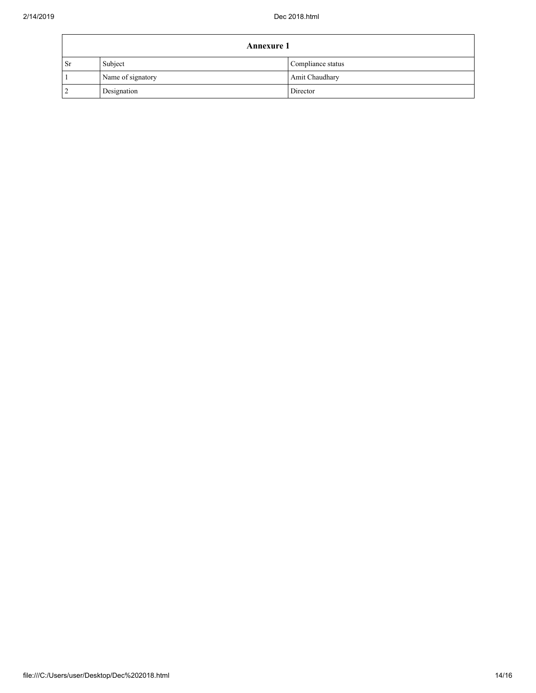| <b>Annexure 1</b> |                   |                   |  |
|-------------------|-------------------|-------------------|--|
| <b>Sr</b>         | Subject           | Compliance status |  |
|                   | Name of signatory | Amit Chaudhary    |  |
|                   | Designation       | Director          |  |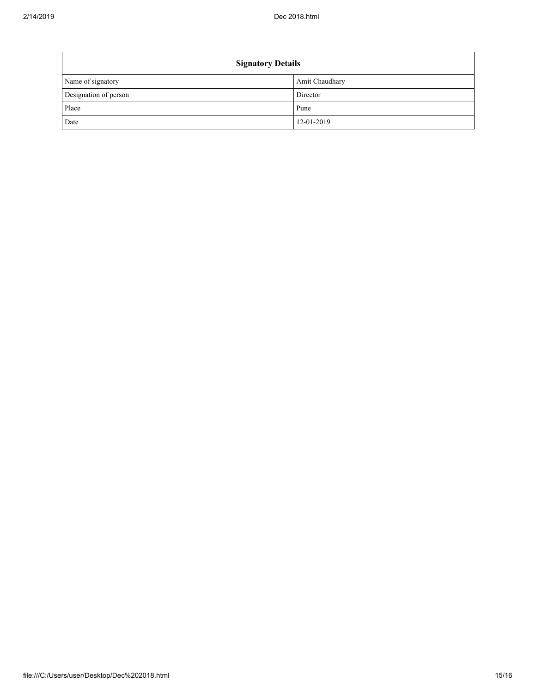| <b>Signatory Details</b> |                |  |  |  |
|--------------------------|----------------|--|--|--|
| Name of signatory        | Amit Chaudhary |  |  |  |
| Designation of person    | Director       |  |  |  |
| Place                    | Pune           |  |  |  |
| Date                     | 12-01-2019     |  |  |  |